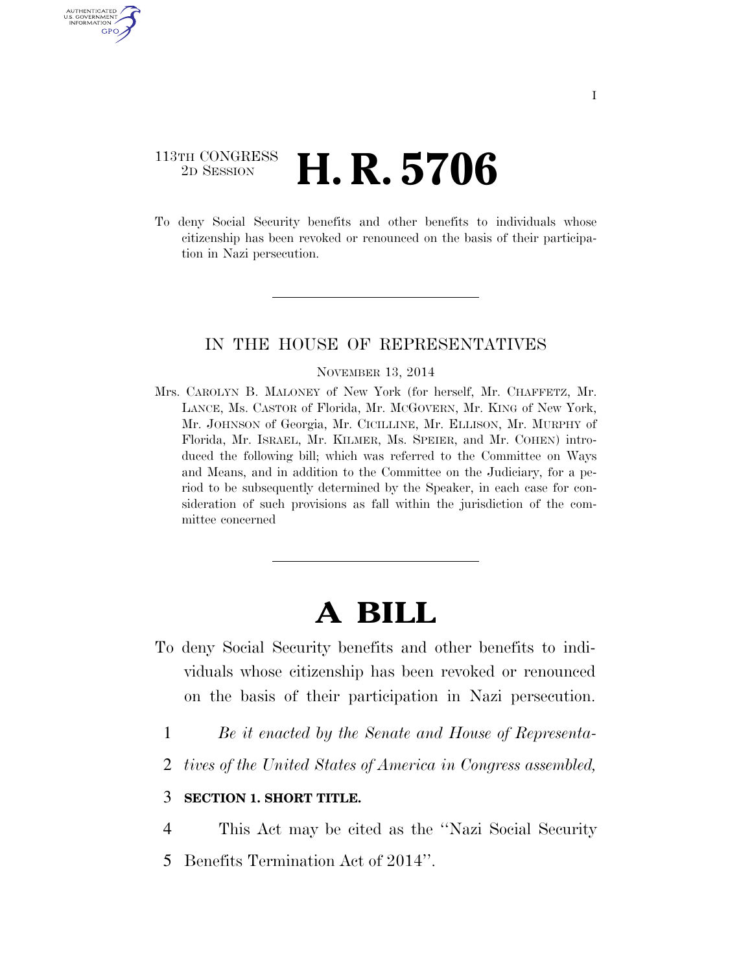## 113TH CONGRESS <sup>2D SESSION</sup> **H. R. 5706**

U.S. GOVERNMENT GPO

> To deny Social Security benefits and other benefits to individuals whose citizenship has been revoked or renounced on the basis of their participation in Nazi persecution.

### IN THE HOUSE OF REPRESENTATIVES

#### NOVEMBER 13, 2014

Mrs. CAROLYN B. MALONEY of New York (for herself, Mr. CHAFFETZ, Mr. LANCE, Ms. CASTOR of Florida, Mr. MCGOVERN, Mr. KING of New York, Mr. JOHNSON of Georgia, Mr. CICILLINE, Mr. ELLISON, Mr. MURPHY of Florida, Mr. ISRAEL, Mr. KILMER, Ms. SPEIER, and Mr. COHEN) introduced the following bill; which was referred to the Committee on Ways and Means, and in addition to the Committee on the Judiciary, for a period to be subsequently determined by the Speaker, in each case for consideration of such provisions as fall within the jurisdiction of the committee concerned

# **A BILL**

- To deny Social Security benefits and other benefits to individuals whose citizenship has been revoked or renounced on the basis of their participation in Nazi persecution.
	- 1 *Be it enacted by the Senate and House of Representa-*
	- 2 *tives of the United States of America in Congress assembled,*

### 3 **SECTION 1. SHORT TITLE.**

4 This Act may be cited as the ''Nazi Social Security 5 Benefits Termination Act of 2014''.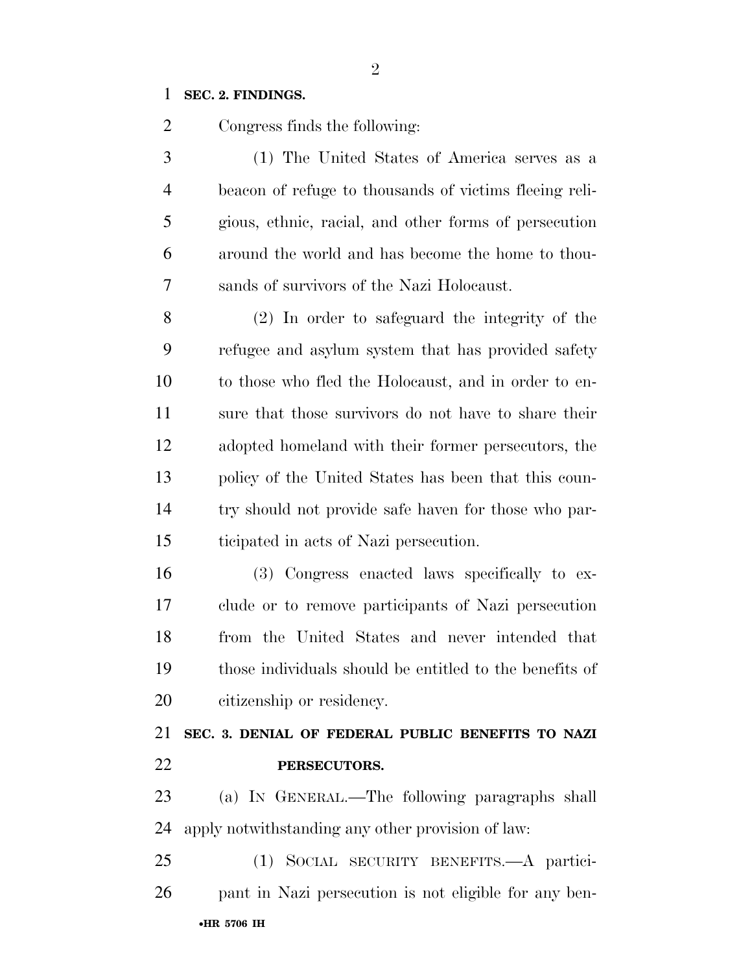### **SEC. 2. FINDINGS.**

Congress finds the following:

 (1) The United States of America serves as a beacon of refuge to thousands of victims fleeing reli- gious, ethnic, racial, and other forms of persecution around the world and has become the home to thou-sands of survivors of the Nazi Holocaust.

 (2) In order to safeguard the integrity of the refugee and asylum system that has provided safety to those who fled the Holocaust, and in order to en- sure that those survivors do not have to share their adopted homeland with their former persecutors, the policy of the United States has been that this coun- try should not provide safe haven for those who par-ticipated in acts of Nazi persecution.

 (3) Congress enacted laws specifically to ex- clude or to remove participants of Nazi persecution from the United States and never intended that those individuals should be entitled to the benefits of citizenship or residency.

 **SEC. 3. DENIAL OF FEDERAL PUBLIC BENEFITS TO NAZI PERSECUTORS.** 

 (a) IN GENERAL.—The following paragraphs shall apply notwithstanding any other provision of law:

•**HR 5706 IH** (1) SOCIAL SECURITY BENEFITS.—A partici-pant in Nazi persecution is not eligible for any ben-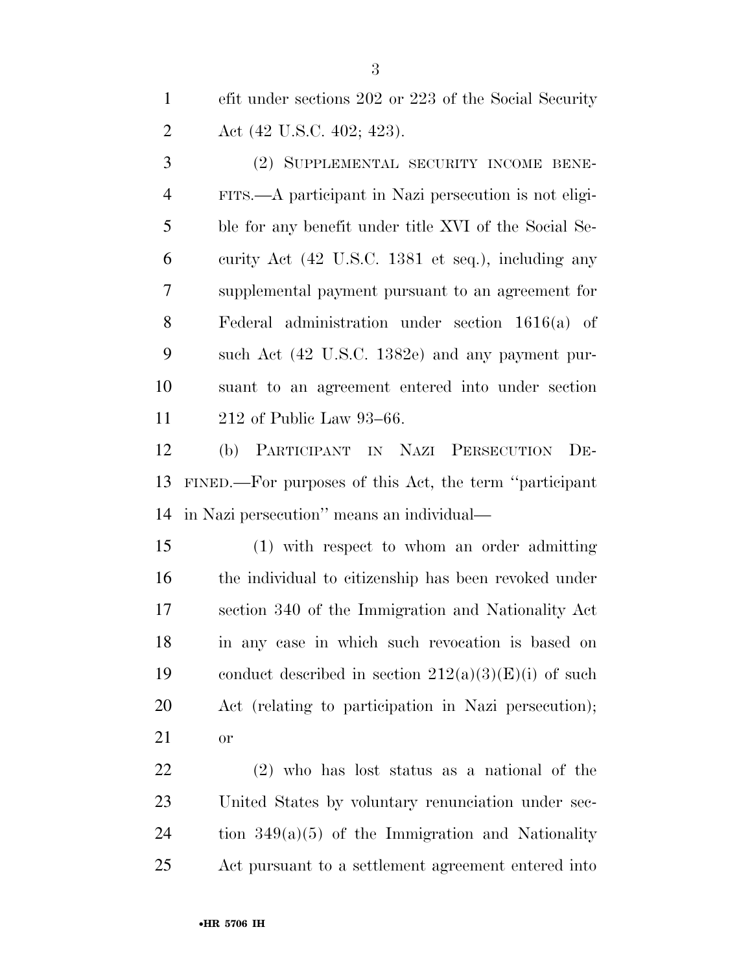efit under sections 202 or 223 of the Social Security Act (42 U.S.C. 402; 423).

 (2) SUPPLEMENTAL SECURITY INCOME BENE- FITS.—A participant in Nazi persecution is not eligi- ble for any benefit under title XVI of the Social Se- curity Act (42 U.S.C. 1381 et seq.), including any supplemental payment pursuant to an agreement for Federal administration under section 1616(a) of such Act (42 U.S.C. 1382e) and any payment pur- suant to an agreement entered into under section 212 of Public Law 93–66.

 (b) PARTICIPANT IN NAZI PERSECUTION DE- FINED.—For purposes of this Act, the term ''participant in Nazi persecution'' means an individual—

 (1) with respect to whom an order admitting the individual to citizenship has been revoked under section 340 of the Immigration and Nationality Act in any case in which such revocation is based on 19 conduct described in section  $212(a)(3)(E)(i)$  of such Act (relating to participation in Nazi persecution); or

 (2) who has lost status as a national of the United States by voluntary renunciation under sec- tion  $349(a)(5)$  of the Immigration and Nationality Act pursuant to a settlement agreement entered into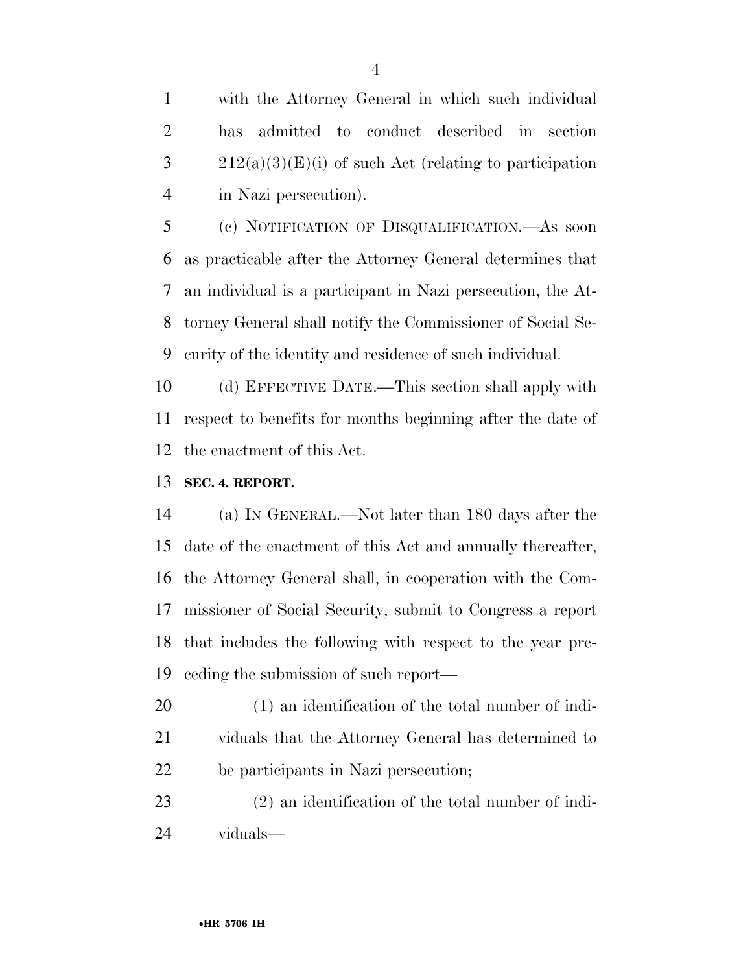with the Attorney General in which such individual has admitted to conduct described in section  $3 \t212(a)(3)(E)(i)$  of such Act (relating to participation in Nazi persecution).

 (c) NOTIFICATION OF DISQUALIFICATION.—As soon as practicable after the Attorney General determines that an individual is a participant in Nazi persecution, the At- torney General shall notify the Commissioner of Social Se-curity of the identity and residence of such individual.

 (d) EFFECTIVE DATE.—This section shall apply with respect to benefits for months beginning after the date of the enactment of this Act.

### **SEC. 4. REPORT.**

 (a) IN GENERAL.—Not later than 180 days after the date of the enactment of this Act and annually thereafter, the Attorney General shall, in cooperation with the Com- missioner of Social Security, submit to Congress a report that includes the following with respect to the year pre-ceding the submission of such report—

 (1) an identification of the total number of indi- viduals that the Attorney General has determined to be participants in Nazi persecution;

 (2) an identification of the total number of indi-viduals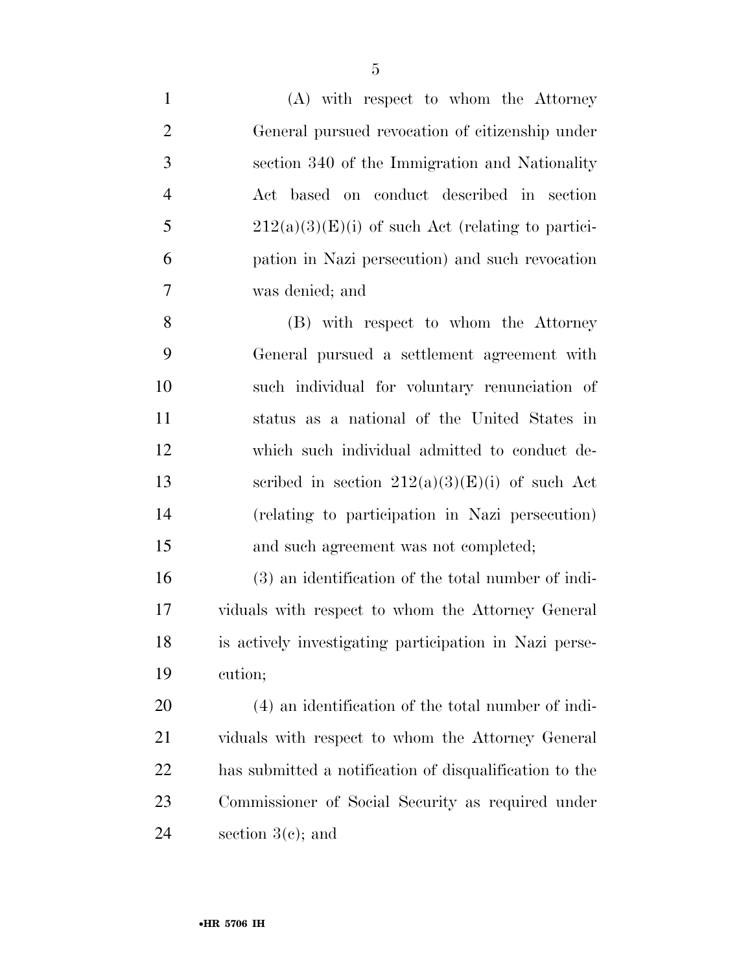| $\mathbf{1}$   | (A) with respect to whom the Attorney                   |
|----------------|---------------------------------------------------------|
| $\overline{2}$ | General pursued revocation of citizenship under         |
| 3              | section 340 of the Immigration and Nationality          |
| $\overline{4}$ | Act based on conduct described in section               |
| 5              | $212(a)(3)(E)(i)$ of such Act (relating to partici-     |
| 6              | pation in Nazi persecution) and such revocation         |
| 7              | was denied; and                                         |
| 8              | (B) with respect to whom the Attorney                   |
| 9              | General pursued a settlement agreement with             |
| 10             | such individual for voluntary renunciation of           |
| 11             | status as a national of the United States in            |
| 12             | which such individual admitted to conduct de-           |
| 13             | scribed in section $212(a)(3)(E)(i)$ of such Act        |
| 14             | (relating to participation in Nazi persecution)         |
| 15             | and such agreement was not completed;                   |
| 16             | (3) an identification of the total number of indi-      |
| 17             | viduals with respect to whom the Attorney General       |
| 18             | is actively investigating participation in Nazi perse-  |
| 19             | cution;                                                 |
| 20             | (4) an identification of the total number of indi-      |
| 21             | viduals with respect to whom the Attorney General       |
| <u>22</u>      | has submitted a notification of disqualification to the |
| 23             | Commissioner of Social Security as required under       |
| 24             | section $3(c)$ ; and                                    |